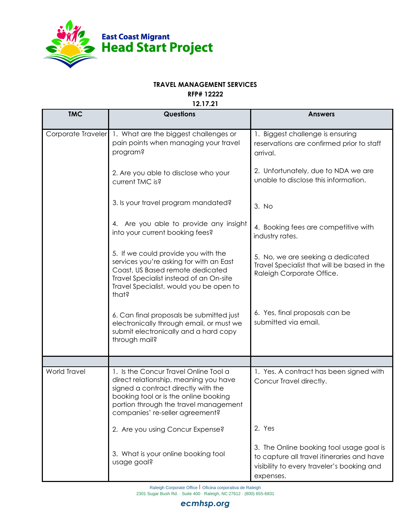

## **TRAVEL MANAGEMENT SERVICES**

**RFP# 12222**

**12.17.21**

| <b>TMC</b>          | <b>Questions</b>                                                                                                                                                                                                                           | <b>Answers</b>                                                                                                                                    |
|---------------------|--------------------------------------------------------------------------------------------------------------------------------------------------------------------------------------------------------------------------------------------|---------------------------------------------------------------------------------------------------------------------------------------------------|
| Corporate Traveler  | 1. What are the biggest challenges or<br>pain points when managing your travel<br>program?                                                                                                                                                 | 1. Biggest challenge is ensuring<br>reservations are confirmed prior to staff<br>arrival.                                                         |
|                     | 2. Are you able to disclose who your<br>current TMC is?                                                                                                                                                                                    | 2. Unfortunately, due to NDA we are<br>unable to disclose this information.                                                                       |
|                     | 3. Is your travel program mandated?                                                                                                                                                                                                        | 3. No                                                                                                                                             |
|                     | 4. Are you able to provide any insight<br>into your current booking fees?                                                                                                                                                                  | 4. Booking fees are competitive with<br>industry rates.                                                                                           |
|                     | 5. If we could provide you with the<br>services you're asking for with an East<br>Coast, US Based remote dedicated<br>Travel Specialist instead of an On-site<br>Travel Specialist, would you be open to<br>that?                          | 5. No, we are seeking a dedicated<br>Travel Specialist that will be based in the<br>Raleigh Corporate Office.                                     |
|                     | 6. Can final proposals be submitted just<br>electronically through email, or must we<br>submit electronically and a hard copy<br>through mail?                                                                                             | 6. Yes, final proposals can be<br>submitted via email.                                                                                            |
|                     |                                                                                                                                                                                                                                            |                                                                                                                                                   |
| <b>World Travel</b> | 1. Is the Concur Travel Online Tool a<br>direct relationship, meaning you have<br>signed a contract directly with the<br>booking tool or is the online booking<br>portion through the travel management<br>companies' re-seller agreement? | 1. Yes. A contract has been signed with<br>Concur Travel directly.                                                                                |
|                     | 2. Are you using Concur Expense?                                                                                                                                                                                                           | 2. Yes                                                                                                                                            |
|                     | 3. What is your online booking tool<br>usage goal?                                                                                                                                                                                         | 3. The Online booking tool usage goal is<br>to capture all travel itineraries and have<br>visibility to every traveler's booking and<br>expenses. |

Raleigh Corporate Office | Oficina corporativa de Raleigh 2301 Sugar Bush Rd. · Suite 400 · Raleigh, NC 27612 · (800) 655-6831